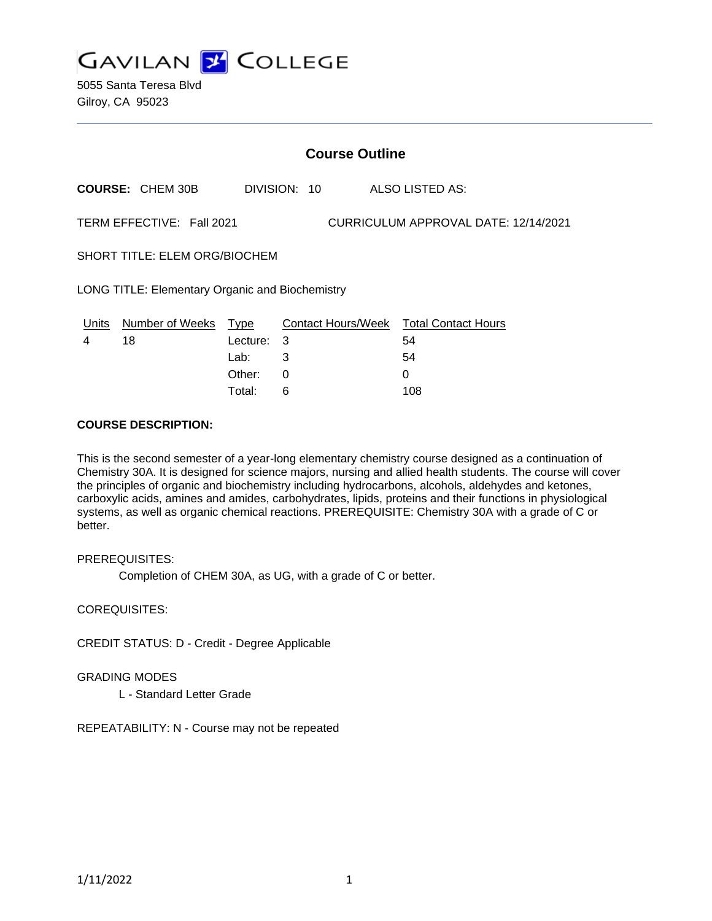

5055 Santa Teresa Blvd Gilroy, CA 95023

|                                                                   | <b>Course Outline</b>   |          |              |                                        |  |
|-------------------------------------------------------------------|-------------------------|----------|--------------|----------------------------------------|--|
|                                                                   | <b>COURSE: CHEM 30B</b> |          | DIVISION: 10 | ALSO LISTED AS:                        |  |
| CURRICULUM APPROVAL DATE: 12/14/2021<br>TERM EFFECTIVE: Fall 2021 |                         |          |              |                                        |  |
| SHORT TITLE: ELEM ORG/BIOCHEM                                     |                         |          |              |                                        |  |
| <b>LONG TITLE: Elementary Organic and Biochemistry</b>            |                         |          |              |                                        |  |
|                                                                   | Units Number of Weeks   | Type     |              | Contact Hours/Week Total Contact Hours |  |
| 4                                                                 | 18                      | Lecture: | 3            | 54                                     |  |
|                                                                   |                         | Lab:     | 3            | 54                                     |  |
|                                                                   |                         | Other:   | $\Omega$     | $\Omega$                               |  |
|                                                                   |                         | Total:   | 6            | 108                                    |  |

#### **COURSE DESCRIPTION:**

This is the second semester of a year-long elementary chemistry course designed as a continuation of Chemistry 30A. It is designed for science majors, nursing and allied health students. The course will cover the principles of organic and biochemistry including hydrocarbons, alcohols, aldehydes and ketones, carboxylic acids, amines and amides, carbohydrates, lipids, proteins and their functions in physiological systems, as well as organic chemical reactions. PREREQUISITE: Chemistry 30A with a grade of C or better.

PREREQUISITES:

Completion of CHEM 30A, as UG, with a grade of C or better.

COREQUISITES:

CREDIT STATUS: D - Credit - Degree Applicable

GRADING MODES

L - Standard Letter Grade

REPEATABILITY: N - Course may not be repeated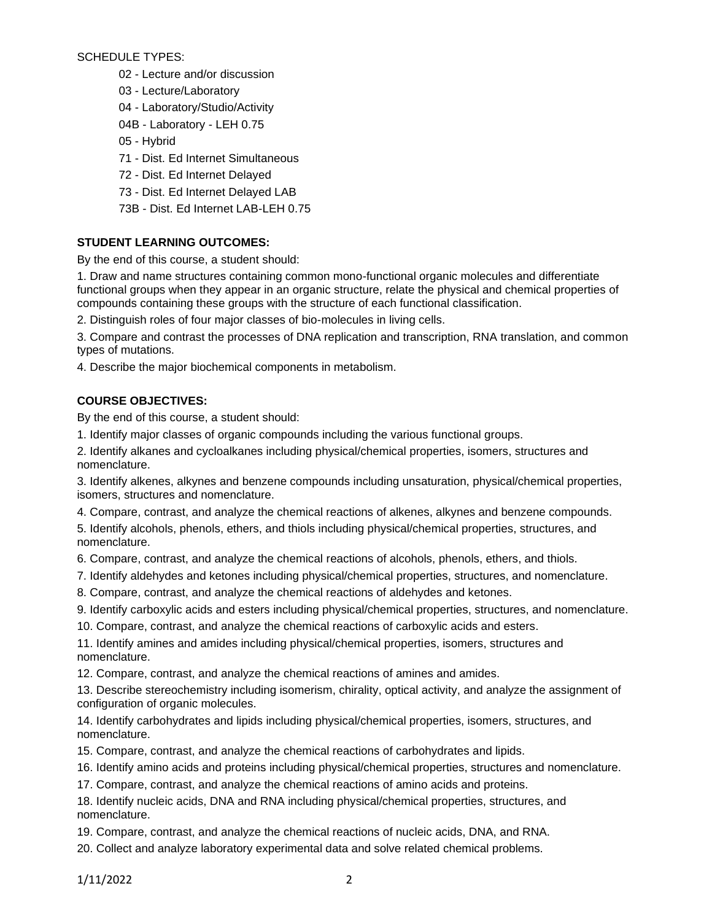SCHEDULE TYPES:

02 - Lecture and/or discussion

03 - Lecture/Laboratory

04 - Laboratory/Studio/Activity

04B - Laboratory - LEH 0.75

- 05 Hybrid
- 71 Dist. Ed Internet Simultaneous
- 72 Dist. Ed Internet Delayed
- 73 Dist. Ed Internet Delayed LAB

73B - Dist. Ed Internet LAB-LEH 0.75

# **STUDENT LEARNING OUTCOMES:**

By the end of this course, a student should:

1. Draw and name structures containing common mono-functional organic molecules and differentiate functional groups when they appear in an organic structure, relate the physical and chemical properties of compounds containing these groups with the structure of each functional classification.

2. Distinguish roles of four major classes of bio-molecules in living cells.

3. Compare and contrast the processes of DNA replication and transcription, RNA translation, and common types of mutations.

4. Describe the major biochemical components in metabolism.

## **COURSE OBJECTIVES:**

By the end of this course, a student should:

- 1. Identify major classes of organic compounds including the various functional groups.
- 2. Identify alkanes and cycloalkanes including physical/chemical properties, isomers, structures and nomenclature.

3. Identify alkenes, alkynes and benzene compounds including unsaturation, physical/chemical properties, isomers, structures and nomenclature.

4. Compare, contrast, and analyze the chemical reactions of alkenes, alkynes and benzene compounds.

5. Identify alcohols, phenols, ethers, and thiols including physical/chemical properties, structures, and nomenclature.

6. Compare, contrast, and analyze the chemical reactions of alcohols, phenols, ethers, and thiols.

- 7. Identify aldehydes and ketones including physical/chemical properties, structures, and nomenclature.
- 8. Compare, contrast, and analyze the chemical reactions of aldehydes and ketones.

9. Identify carboxylic acids and esters including physical/chemical properties, structures, and nomenclature.

10. Compare, contrast, and analyze the chemical reactions of carboxylic acids and esters.

11. Identify amines and amides including physical/chemical properties, isomers, structures and nomenclature.

12. Compare, contrast, and analyze the chemical reactions of amines and amides.

13. Describe stereochemistry including isomerism, chirality, optical activity, and analyze the assignment of configuration of organic molecules.

14. Identify carbohydrates and lipids including physical/chemical properties, isomers, structures, and nomenclature.

15. Compare, contrast, and analyze the chemical reactions of carbohydrates and lipids.

16. Identify amino acids and proteins including physical/chemical properties, structures and nomenclature.

17. Compare, contrast, and analyze the chemical reactions of amino acids and proteins.

18. Identify nucleic acids, DNA and RNA including physical/chemical properties, structures, and nomenclature.

19. Compare, contrast, and analyze the chemical reactions of nucleic acids, DNA, and RNA.

20. Collect and analyze laboratory experimental data and solve related chemical problems.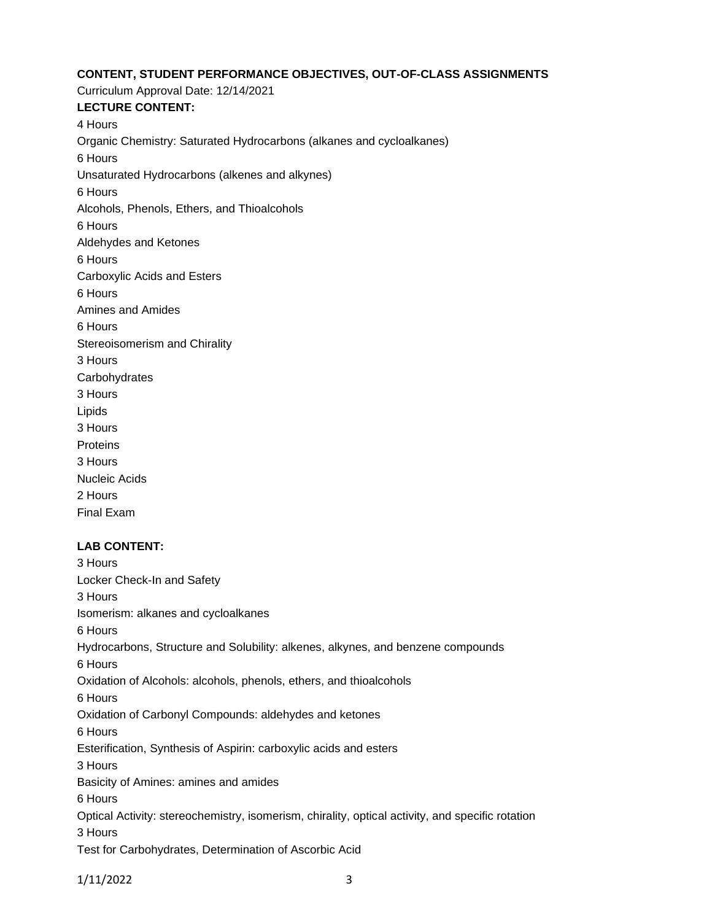# **CONTENT, STUDENT PERFORMANCE OBJECTIVES, OUT-OF-CLASS ASSIGNMENTS**

Curriculum Approval Date: 12/14/2021 **LECTURE CONTENT:** 4 Hours Organic Chemistry: Saturated Hydrocarbons (alkanes and cycloalkanes) 6 Hours Unsaturated Hydrocarbons (alkenes and alkynes) 6 Hours Alcohols, Phenols, Ethers, and Thioalcohols 6 Hours Aldehydes and Ketones 6 Hours Carboxylic Acids and Esters 6 Hours Amines and Amides 6 Hours Stereoisomerism and Chirality 3 Hours **Carbohydrates** 3 Hours Lipids 3 Hours **Proteins** 3 Hours Nucleic Acids 2 Hours Final Exam

## **LAB CONTENT:**

3 Hours Locker Check-In and Safety 3 Hours Isomerism: alkanes and cycloalkanes 6 Hours Hydrocarbons, Structure and Solubility: alkenes, alkynes, and benzene compounds 6 Hours Oxidation of Alcohols: alcohols, phenols, ethers, and thioalcohols 6 Hours Oxidation of Carbonyl Compounds: aldehydes and ketones 6 Hours Esterification, Synthesis of Aspirin: carboxylic acids and esters 3 Hours Basicity of Amines: amines and amides 6 Hours Optical Activity: stereochemistry, isomerism, chirality, optical activity, and specific rotation 3 Hours Test for Carbohydrates, Determination of Ascorbic Acid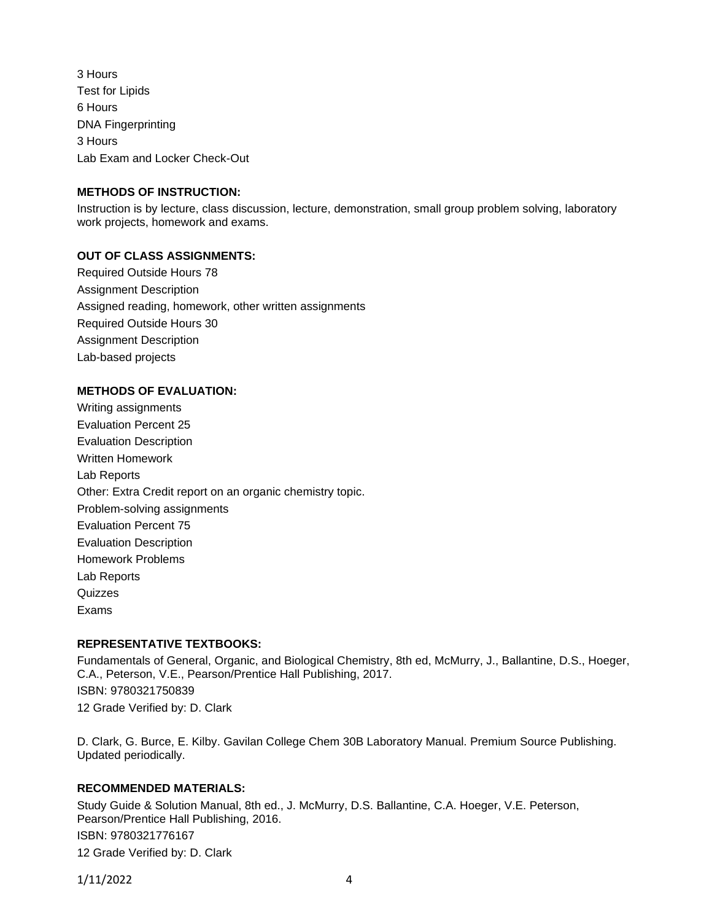3 Hours Test for Lipids 6 Hours DNA Fingerprinting 3 Hours Lab Exam and Locker Check-Out

## **METHODS OF INSTRUCTION:**

Instruction is by lecture, class discussion, lecture, demonstration, small group problem solving, laboratory work projects, homework and exams.

## **OUT OF CLASS ASSIGNMENTS:**

Required Outside Hours 78 Assignment Description Assigned reading, homework, other written assignments Required Outside Hours 30 Assignment Description Lab-based projects

## **METHODS OF EVALUATION:**

Writing assignments Evaluation Percent 25 Evaluation Description Written Homework Lab Reports Other: Extra Credit report on an organic chemistry topic. Problem-solving assignments Evaluation Percent 75 Evaluation Description Homework Problems Lab Reports **Quizzes** Exams

## **REPRESENTATIVE TEXTBOOKS:**

Fundamentals of General, Organic, and Biological Chemistry, 8th ed, McMurry, J., Ballantine, D.S., Hoeger, C.A., Peterson, V.E., Pearson/Prentice Hall Publishing, 2017. ISBN: 9780321750839 12 Grade Verified by: D. Clark

D. Clark, G. Burce, E. Kilby. Gavilan College Chem 30B Laboratory Manual. Premium Source Publishing. Updated periodically.

## **RECOMMENDED MATERIALS:**

Study Guide & Solution Manual, 8th ed., J. McMurry, D.S. Ballantine, C.A. Hoeger, V.E. Peterson, Pearson/Prentice Hall Publishing, 2016. ISBN: 9780321776167 12 Grade Verified by: D. Clark

1/11/2022 4